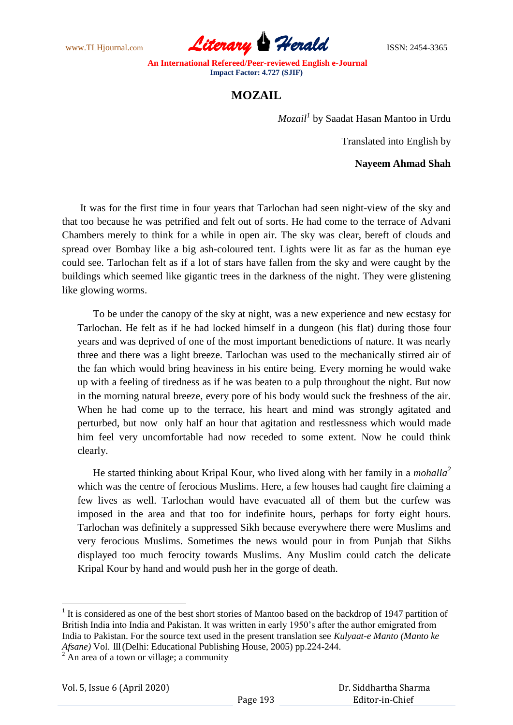www.TLHjournal.com **Literary Herald Herald** ISSN: 2454-3365

## **MOZAIL**

*Mozail<sup>1</sup>* by Saadat Hasan Mantoo in Urdu

Translated into English by

**Nayeem Ahmad Shah**

 It was for the first time in four years that Tarlochan had seen night-view of the sky and that too because he was petrified and felt out of sorts. He had come to the terrace of Advani Chambers merely to think for a while in open air. The sky was clear, bereft of clouds and spread over Bombay like a big ash-coloured tent. Lights were lit as far as the human eye could see. Tarlochan felt as if a lot of stars have fallen from the sky and were caught by the buildings which seemed like gigantic trees in the darkness of the night. They were glistening like glowing worms.

 To be under the canopy of the sky at night, was a new experience and new ecstasy for Tarlochan. He felt as if he had locked himself in a dungeon (his flat) during those four years and was deprived of one of the most important benedictions of nature. It was nearly three and there was a light breeze. Tarlochan was used to the mechanically stirred air of the fan which would bring heaviness in his entire being. Every morning he would wake up with a feeling of tiredness as if he was beaten to a pulp throughout the night. But now in the morning natural breeze, every pore of his body would suck the freshness of the air. When he had come up to the terrace, his heart and mind was strongly agitated and perturbed, but now only half an hour that agitation and restlessness which would made him feel very uncomfortable had now receded to some extent. Now he could think clearly.

 He started thinking about Kripal Kour, who lived along with her family in a *mohalla<sup>2</sup>* which was the centre of ferocious Muslims. Here, a few houses had caught fire claiming a few lives as well. Tarlochan would have evacuated all of them but the curfew was imposed in the area and that too for indefinite hours, perhaps for forty eight hours. Tarlochan was definitely a suppressed Sikh because everywhere there were Muslims and very ferocious Muslims. Sometimes the news would pour in from Punjab that Sikhs displayed too much ferocity towards Muslims. Any Muslim could catch the delicate Kripal Kour by hand and would push her in the gorge of death.

<sup>&</sup>lt;sup>1</sup> It is considered as one of the best short stories of Mantoo based on the backdrop of 1947 partition of British India into India and Pakistan. It was written in early 1950"s after the author emigrated from India to Pakistan. For the source text used in the present translation see *Kulyaat-e Manto (Manto ke Afsane)* Vol. Ⅲ(Delhi: Educational Publishing House, 2005) pp.224-244.

 $2^2$  An area of a town or village; a community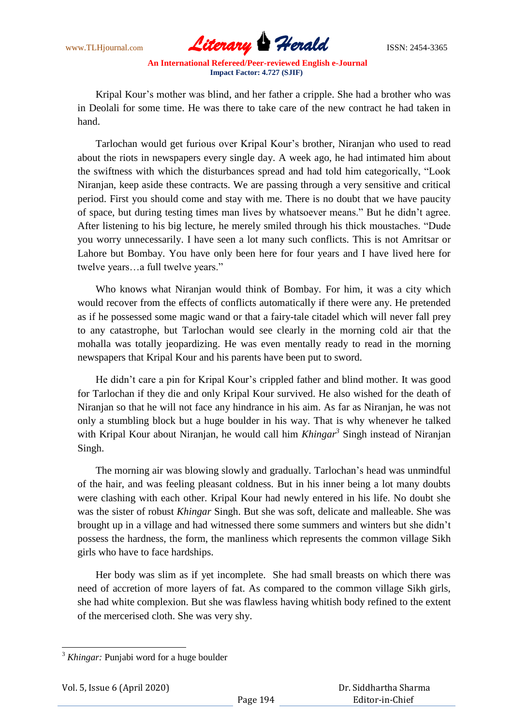

Kripal Kour's mother was blind, and her father a cripple. She had a brother who was in Deolali for some time. He was there to take care of the new contract he had taken in hand.

 Tarlochan would get furious over Kripal Kour"s brother, Niranjan who used to read about the riots in newspapers every single day. A week ago, he had intimated him about the swiftness with which the disturbances spread and had told him categorically, "Look Niranjan, keep aside these contracts. We are passing through a very sensitive and critical period. First you should come and stay with me. There is no doubt that we have paucity of space, but during testing times man lives by whatsoever means." But he didn"t agree. After listening to his big lecture, he merely smiled through his thick moustaches. "Dude you worry unnecessarily. I have seen a lot many such conflicts. This is not Amritsar or Lahore but Bombay. You have only been here for four years and I have lived here for twelve years…a full twelve years."

 Who knows what Niranjan would think of Bombay. For him, it was a city which would recover from the effects of conflicts automatically if there were any. He pretended as if he possessed some magic wand or that a fairy-tale citadel which will never fall prey to any catastrophe, but Tarlochan would see clearly in the morning cold air that the mohalla was totally jeopardizing. He was even mentally ready to read in the morning newspapers that Kripal Kour and his parents have been put to sword.

He didn't care a pin for Kripal Kour's crippled father and blind mother. It was good for Tarlochan if they die and only Kripal Kour survived. He also wished for the death of Niranjan so that he will not face any hindrance in his aim. As far as Niranjan, he was not only a stumbling block but a huge boulder in his way. That is why whenever he talked with Kripal Kour about Niranjan, he would call him *Khingar<sup>3</sup>* Singh instead of Niranjan Singh.

 The morning air was blowing slowly and gradually. Tarlochan"s head was unmindful of the hair, and was feeling pleasant coldness. But in his inner being a lot many doubts were clashing with each other. Kripal Kour had newly entered in his life. No doubt she was the sister of robust *Khingar* Singh. But she was soft, delicate and malleable. She was brought up in a village and had witnessed there some summers and winters but she didn"t possess the hardness, the form, the manliness which represents the common village Sikh girls who have to face hardships.

 Her body was slim as if yet incomplete. She had small breasts on which there was need of accretion of more layers of fat. As compared to the common village Sikh girls, she had white complexion. But she was flawless having whitish body refined to the extent of the mercerised cloth. She was very shy.

<sup>&</sup>lt;sup>3</sup> *Khingar*: Punjabi word for a huge boulder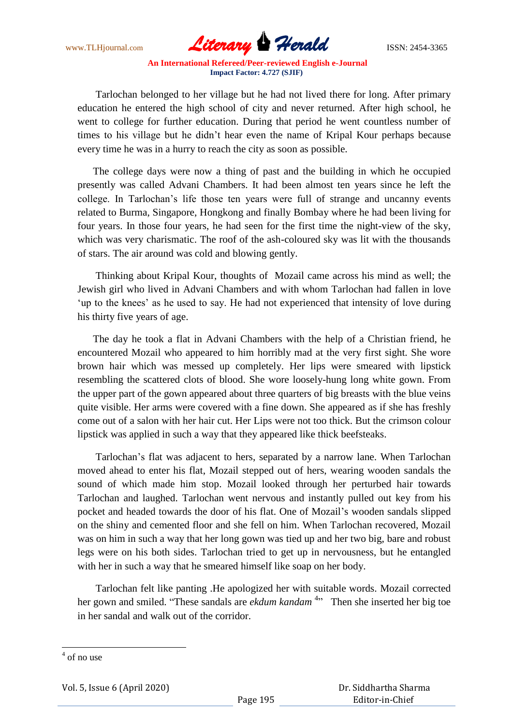www.TLHjournal.com **Literary Herald ISSN: 2454-3365** 

 Tarlochan belonged to her village but he had not lived there for long. After primary education he entered the high school of city and never returned. After high school, he went to college for further education. During that period he went countless number of times to his village but he didn"t hear even the name of Kripal Kour perhaps because every time he was in a hurry to reach the city as soon as possible.

 The college days were now a thing of past and the building in which he occupied presently was called Advani Chambers. It had been almost ten years since he left the college. In Tarlochan"s life those ten years were full of strange and uncanny events related to Burma, Singapore, Hongkong and finally Bombay where he had been living for four years. In those four years, he had seen for the first time the night-view of the sky, which was very charismatic. The roof of the ash-coloured sky was lit with the thousands of stars. The air around was cold and blowing gently.

 Thinking about Kripal Kour, thoughts of Mozail came across his mind as well; the Jewish girl who lived in Advani Chambers and with whom Tarlochan had fallen in love 'up to the knees' as he used to say. He had not experienced that intensity of love during his thirty five years of age.

 The day he took a flat in Advani Chambers with the help of a Christian friend, he encountered Mozail who appeared to him horribly mad at the very first sight. She wore brown hair which was messed up completely. Her lips were smeared with lipstick resembling the scattered clots of blood. She wore loosely-hung long white gown. From the upper part of the gown appeared about three quarters of big breasts with the blue veins quite visible. Her arms were covered with a fine down. She appeared as if she has freshly come out of a salon with her hair cut. Her Lips were not too thick. But the crimson colour lipstick was applied in such a way that they appeared like thick beefsteaks.

 Tarlochan"s flat was adjacent to hers, separated by a narrow lane. When Tarlochan moved ahead to enter his flat, Mozail stepped out of hers, wearing wooden sandals the sound of which made him stop. Mozail looked through her perturbed hair towards Tarlochan and laughed. Tarlochan went nervous and instantly pulled out key from his pocket and headed towards the door of his flat. One of Mozail"s wooden sandals slipped on the shiny and cemented floor and she fell on him. When Tarlochan recovered, Mozail was on him in such a way that her long gown was tied up and her two big, bare and robust legs were on his both sides. Tarlochan tried to get up in nervousness, but he entangled with her in such a way that he smeared himself like soap on her body.

 Tarlochan felt like panting .He apologized her with suitable words. Mozail corrected her gown and smiled. "These sandals are *ekdum kandam*<sup>4</sup>" Then she inserted her big toe in her sandal and walk out of the corridor.

Vol. 5, Issue 6 (April 2020)

 $\frac{4}{1}$  of no use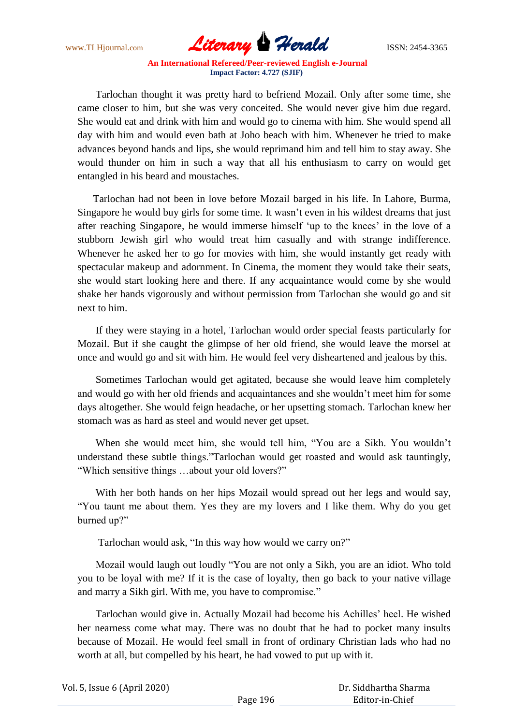www.TLHjournal.com **Literary Herald ISSN: 2454-3365** 

 Tarlochan thought it was pretty hard to befriend Mozail. Only after some time, she came closer to him, but she was very conceited. She would never give him due regard. She would eat and drink with him and would go to cinema with him. She would spend all day with him and would even bath at Joho beach with him. Whenever he tried to make advances beyond hands and lips, she would reprimand him and tell him to stay away. She would thunder on him in such a way that all his enthusiasm to carry on would get entangled in his beard and moustaches.

 Tarlochan had not been in love before Mozail barged in his life. In Lahore, Burma, Singapore he would buy girls for some time. It wasn"t even in his wildest dreams that just after reaching Singapore, he would immerse himself "up to the knees" in the love of a stubborn Jewish girl who would treat him casually and with strange indifference. Whenever he asked her to go for movies with him, she would instantly get ready with spectacular makeup and adornment. In Cinema, the moment they would take their seats, she would start looking here and there. If any acquaintance would come by she would shake her hands vigorously and without permission from Tarlochan she would go and sit next to him.

 If they were staying in a hotel, Tarlochan would order special feasts particularly for Mozail. But if she caught the glimpse of her old friend, she would leave the morsel at once and would go and sit with him. He would feel very disheartened and jealous by this.

 Sometimes Tarlochan would get agitated, because she would leave him completely and would go with her old friends and acquaintances and she wouldn"t meet him for some days altogether. She would feign headache, or her upsetting stomach. Tarlochan knew her stomach was as hard as steel and would never get upset.

 When she would meet him, she would tell him, "You are a Sikh. You wouldn"t understand these subtle things."Tarlochan would get roasted and would ask tauntingly, "Which sensitive things …about your old lovers?"

 With her both hands on her hips Mozail would spread out her legs and would say, "You taunt me about them. Yes they are my lovers and I like them. Why do you get burned up?"

Tarlochan would ask, "In this way how would we carry on?"

 Mozail would laugh out loudly "You are not only a Sikh, you are an idiot. Who told you to be loyal with me? If it is the case of loyalty, then go back to your native village and marry a Sikh girl. With me, you have to compromise."

 Tarlochan would give in. Actually Mozail had become his Achilles" heel. He wished her nearness come what may. There was no doubt that he had to pocket many insults because of Mozail. He would feel small in front of ordinary Christian lads who had no worth at all, but compelled by his heart, he had vowed to put up with it.

 Dr. Siddhartha Sharma Editor-in-Chief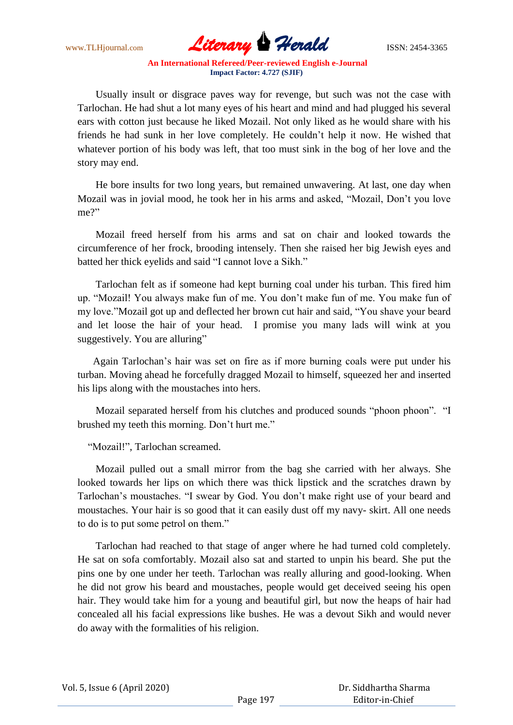www.TLHjournal.com **Literary Herald ISSN: 2454-3365** 

 Usually insult or disgrace paves way for revenge, but such was not the case with Tarlochan. He had shut a lot many eyes of his heart and mind and had plugged his several ears with cotton just because he liked Mozail. Not only liked as he would share with his friends he had sunk in her love completely. He couldn"t help it now. He wished that whatever portion of his body was left, that too must sink in the bog of her love and the story may end.

 He bore insults for two long years, but remained unwavering. At last, one day when Mozail was in jovial mood, he took her in his arms and asked, "Mozail, Don"t you love me?"

 Mozail freed herself from his arms and sat on chair and looked towards the circumference of her frock, brooding intensely. Then she raised her big Jewish eyes and batted her thick eyelids and said "I cannot love a Sikh."

 Tarlochan felt as if someone had kept burning coal under his turban. This fired him up. "Mozail! You always make fun of me. You don"t make fun of me. You make fun of my love."Mozail got up and deflected her brown cut hair and said, "You shave your beard and let loose the hair of your head. I promise you many lads will wink at you suggestively. You are alluring"

 Again Tarlochan"s hair was set on fire as if more burning coals were put under his turban. Moving ahead he forcefully dragged Mozail to himself, squeezed her and inserted his lips along with the moustaches into hers.

 Mozail separated herself from his clutches and produced sounds "phoon phoon". "I brushed my teeth this morning. Don"t hurt me."

"Mozail!", Tarlochan screamed.

 Mozail pulled out a small mirror from the bag she carried with her always. She looked towards her lips on which there was thick lipstick and the scratches drawn by Tarlochan"s moustaches. "I swear by God. You don"t make right use of your beard and moustaches. Your hair is so good that it can easily dust off my navy- skirt. All one needs to do is to put some petrol on them."

 Tarlochan had reached to that stage of anger where he had turned cold completely. He sat on sofa comfortably. Mozail also sat and started to unpin his beard. She put the pins one by one under her teeth. Tarlochan was really alluring and good-looking. When he did not grow his beard and moustaches, people would get deceived seeing his open hair. They would take him for a young and beautiful girl, but now the heaps of hair had concealed all his facial expressions like bushes. He was a devout Sikh and would never do away with the formalities of his religion.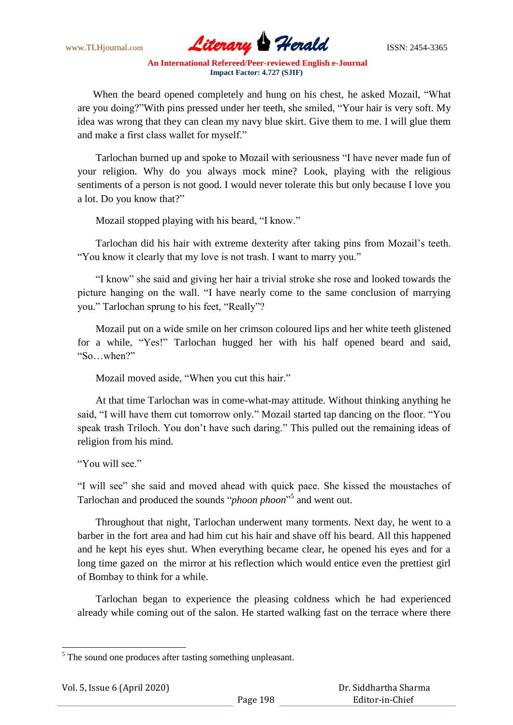

 When the beard opened completely and hung on his chest, he asked Mozail, "What are you doing?"With pins pressed under her teeth, she smiled, "Your hair is very soft. My idea was wrong that they can clean my navy blue skirt. Give them to me. I will glue them and make a first class wallet for myself."

 Tarlochan burned up and spoke to Mozail with seriousness "I have never made fun of your religion. Why do you always mock mine? Look, playing with the religious sentiments of a person is not good. I would never tolerate this but only because I love you a lot. Do you know that?"

Mozail stopped playing with his beard, "I know."

 Tarlochan did his hair with extreme dexterity after taking pins from Mozail"s teeth. "You know it clearly that my love is not trash. I want to marry you."

 "I know" she said and giving her hair a trivial stroke she rose and looked towards the picture hanging on the wall. "I have nearly come to the same conclusion of marrying you." Tarlochan sprung to his feet, "Really"?

 Mozail put on a wide smile on her crimson coloured lips and her white teeth glistened for a while, "Yes!" Tarlochan hugged her with his half opened beard and said, "So…when?"

Mozail moved aside, "When you cut this hair."

 At that time Tarlochan was in come-what-may attitude. Without thinking anything he said, "I will have them cut tomorrow only." Mozail started tap dancing on the floor. "You speak trash Triloch. You don"t have such daring." This pulled out the remaining ideas of religion from his mind.

"You will see"

"I will see" she said and moved ahead with quick pace. She kissed the moustaches of Tarlochan and produced the sounds "*phoon phoon*" 5 and went out.

 Throughout that night, Tarlochan underwent many torments. Next day, he went to a barber in the fort area and had him cut his hair and shave off his beard. All this happened and he kept his eyes shut. When everything became clear, he opened his eyes and for a long time gazed on the mirror at his reflection which would entice even the prettiest girl of Bombay to think for a while.

 Tarlochan began to experience the pleasing coldness which he had experienced already while coming out of the salon. He started walking fast on the terrace where there

 $<sup>5</sup>$  The sound one produces after tasting something unpleasant.</sup>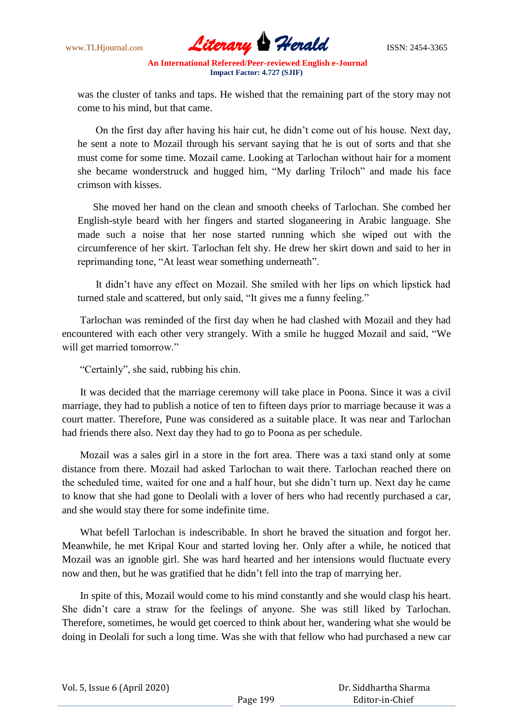

was the cluster of tanks and taps. He wished that the remaining part of the story may not come to his mind, but that came.

 On the first day after having his hair cut, he didn"t come out of his house. Next day, he sent a note to Mozail through his servant saying that he is out of sorts and that she must come for some time. Mozail came. Looking at Tarlochan without hair for a moment she became wonderstruck and hugged him, "My darling Triloch" and made his face crimson with kisses.

 She moved her hand on the clean and smooth cheeks of Tarlochan. She combed her English-style beard with her fingers and started sloganeering in Arabic language. She made such a noise that her nose started running which she wiped out with the circumference of her skirt. Tarlochan felt shy. He drew her skirt down and said to her in reprimanding tone, "At least wear something underneath".

 It didn"t have any effect on Mozail. She smiled with her lips on which lipstick had turned stale and scattered, but only said, "It gives me a funny feeling."

 Tarlochan was reminded of the first day when he had clashed with Mozail and they had encountered with each other very strangely. With a smile he hugged Mozail and said, "We will get married tomorrow."

"Certainly", she said, rubbing his chin.

 It was decided that the marriage ceremony will take place in Poona. Since it was a civil marriage, they had to publish a notice of ten to fifteen days prior to marriage because it was a court matter. Therefore, Pune was considered as a suitable place. It was near and Tarlochan had friends there also. Next day they had to go to Poona as per schedule.

 Mozail was a sales girl in a store in the fort area. There was a taxi stand only at some distance from there. Mozail had asked Tarlochan to wait there. Tarlochan reached there on the scheduled time, waited for one and a half hour, but she didn"t turn up. Next day he came to know that she had gone to Deolali with a lover of hers who had recently purchased a car, and she would stay there for some indefinite time.

 What befell Tarlochan is indescribable. In short he braved the situation and forgot her. Meanwhile, he met Kripal Kour and started loving her. Only after a while, he noticed that Mozail was an ignoble girl. She was hard hearted and her intensions would fluctuate every now and then, but he was gratified that he didn"t fell into the trap of marrying her.

 In spite of this, Mozail would come to his mind constantly and she would clasp his heart. She didn"t care a straw for the feelings of anyone. She was still liked by Tarlochan. Therefore, sometimes, he would get coerced to think about her, wandering what she would be doing in Deolali for such a long time. Was she with that fellow who had purchased a new car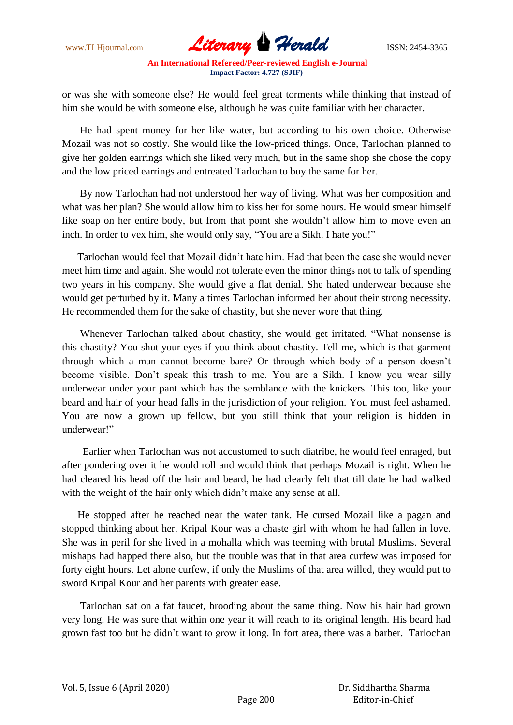www.TLHjournal.com **Literary Herald ISSN: 2454-3365** 

or was she with someone else? He would feel great torments while thinking that instead of him she would be with someone else, although he was quite familiar with her character.

 He had spent money for her like water, but according to his own choice. Otherwise Mozail was not so costly. She would like the low-priced things. Once, Tarlochan planned to give her golden earrings which she liked very much, but in the same shop she chose the copy and the low priced earrings and entreated Tarlochan to buy the same for her.

 By now Tarlochan had not understood her way of living. What was her composition and what was her plan? She would allow him to kiss her for some hours. He would smear himself like soap on her entire body, but from that point she wouldn't allow him to move even an inch. In order to vex him, she would only say, "You are a Sikh. I hate you!"

 Tarlochan would feel that Mozail didn"t hate him. Had that been the case she would never meet him time and again. She would not tolerate even the minor things not to talk of spending two years in his company. She would give a flat denial. She hated underwear because she would get perturbed by it. Many a times Tarlochan informed her about their strong necessity. He recommended them for the sake of chastity, but she never wore that thing.

 Whenever Tarlochan talked about chastity, she would get irritated. "What nonsense is this chastity? You shut your eyes if you think about chastity. Tell me, which is that garment through which a man cannot become bare? Or through which body of a person doesn"t become visible. Don"t speak this trash to me. You are a Sikh. I know you wear silly underwear under your pant which has the semblance with the knickers. This too, like your beard and hair of your head falls in the jurisdiction of your religion. You must feel ashamed. You are now a grown up fellow, but you still think that your religion is hidden in underwear!"

 Earlier when Tarlochan was not accustomed to such diatribe, he would feel enraged, but after pondering over it he would roll and would think that perhaps Mozail is right. When he had cleared his head off the hair and beard, he had clearly felt that till date he had walked with the weight of the hair only which didn't make any sense at all.

 He stopped after he reached near the water tank. He cursed Mozail like a pagan and stopped thinking about her. Kripal Kour was a chaste girl with whom he had fallen in love. She was in peril for she lived in a mohalla which was teeming with brutal Muslims. Several mishaps had happed there also, but the trouble was that in that area curfew was imposed for forty eight hours. Let alone curfew, if only the Muslims of that area willed, they would put to sword Kripal Kour and her parents with greater ease.

 Tarlochan sat on a fat faucet, brooding about the same thing. Now his hair had grown very long. He was sure that within one year it will reach to its original length. His beard had grown fast too but he didn"t want to grow it long. In fort area, there was a barber. Tarlochan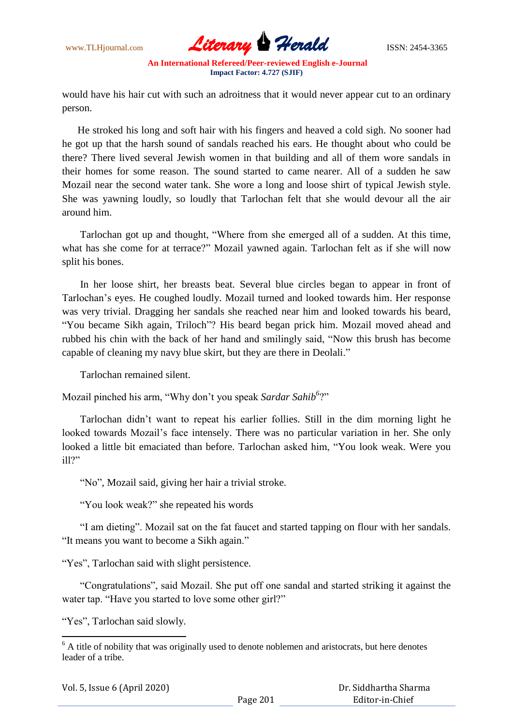

would have his hair cut with such an adroitness that it would never appear cut to an ordinary person.

 He stroked his long and soft hair with his fingers and heaved a cold sigh. No sooner had he got up that the harsh sound of sandals reached his ears. He thought about who could be there? There lived several Jewish women in that building and all of them wore sandals in their homes for some reason. The sound started to came nearer. All of a sudden he saw Mozail near the second water tank. She wore a long and loose shirt of typical Jewish style. She was yawning loudly, so loudly that Tarlochan felt that she would devour all the air around him.

 Tarlochan got up and thought, "Where from she emerged all of a sudden. At this time, what has she come for at terrace?" Mozail yawned again. Tarlochan felt as if she will now split his bones.

 In her loose shirt, her breasts beat. Several blue circles began to appear in front of Tarlochan"s eyes. He coughed loudly. Mozail turned and looked towards him. Her response was very trivial. Dragging her sandals she reached near him and looked towards his beard, "You became Sikh again, Triloch"? His beard began prick him. Mozail moved ahead and rubbed his chin with the back of her hand and smilingly said, "Now this brush has become capable of cleaning my navy blue skirt, but they are there in Deolali."

Tarlochan remained silent.

Mozail pinched his arm, "Why don't you speak *Sardar Sahib*<sup>6</sup>?"

 Tarlochan didn"t want to repeat his earlier follies. Still in the dim morning light he looked towards Mozail's face intensely. There was no particular variation in her. She only looked a little bit emaciated than before. Tarlochan asked him, "You look weak. Were you ill?"

"No", Mozail said, giving her hair a trivial stroke.

"You look weak?" she repeated his words

 "I am dieting". Mozail sat on the fat faucet and started tapping on flour with her sandals. "It means you want to become a Sikh again."

"Yes", Tarlochan said with slight persistence.

 "Congratulations", said Mozail. She put off one sandal and started striking it against the water tap. "Have you started to love some other girl?"

"Yes", Tarlochan said slowly.

 $6$  A title of nobility that was originally used to denote noblemen and aristocrats, but here denotes leader of a tribe.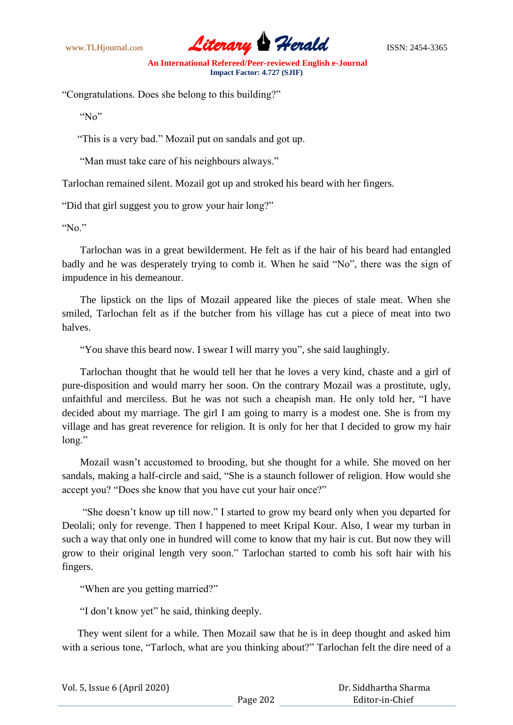

"Congratulations. Does she belong to this building?"

"No"

"This is a very bad." Mozail put on sandals and got up.

"Man must take care of his neighbours always."

Tarlochan remained silent. Mozail got up and stroked his beard with her fingers.

"Did that girl suggest you to grow your hair long?"

" $No$ "

 Tarlochan was in a great bewilderment. He felt as if the hair of his beard had entangled badly and he was desperately trying to comb it. When he said "No", there was the sign of impudence in his demeanour.

 The lipstick on the lips of Mozail appeared like the pieces of stale meat. When she smiled, Tarlochan felt as if the butcher from his village has cut a piece of meat into two halves.

"You shave this beard now. I swear I will marry you", she said laughingly.

 Tarlochan thought that he would tell her that he loves a very kind, chaste and a girl of pure-disposition and would marry her soon. On the contrary Mozail was a prostitute, ugly, unfaithful and merciless. But he was not such a cheapish man. He only told her, "I have decided about my marriage. The girl I am going to marry is a modest one. She is from my village and has great reverence for religion. It is only for her that I decided to grow my hair long."

 Mozail wasn"t accustomed to brooding, but she thought for a while. She moved on her sandals, making a half-circle and said, "She is a staunch follower of religion. How would she accept you? "Does she know that you have cut your hair once?"

 "She doesn"t know up till now." I started to grow my beard only when you departed for Deolali; only for revenge. Then I happened to meet Kripal Kour. Also, I wear my turban in such a way that only one in hundred will come to know that my hair is cut. But now they will grow to their original length very soon." Tarlochan started to comb his soft hair with his fingers.

"When are you getting married?"

"I don"t know yet" he said, thinking deeply.

 They went silent for a while. Then Mozail saw that he is in deep thought and asked him with a serious tone, "Tarloch, what are you thinking about?" Tarlochan felt the dire need of a

| Vol. 5, Issue 6 (April 2020) |          | Dr. Siddhartha Sharma |
|------------------------------|----------|-----------------------|
|                              | Page 202 | Editor-in-Chief       |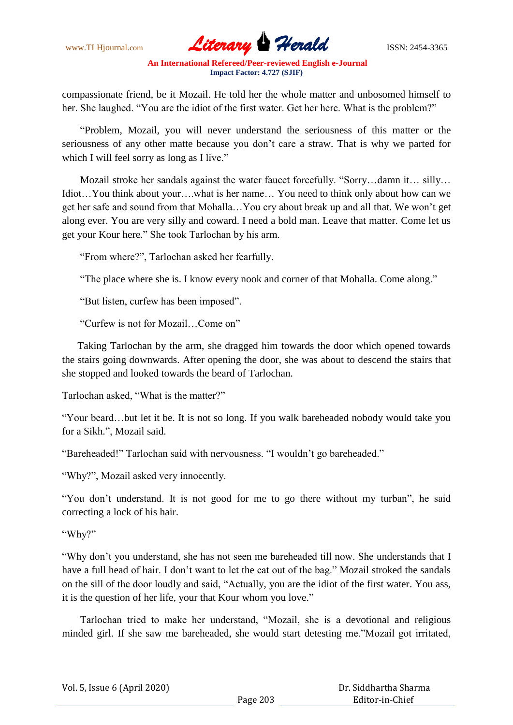www.TLHjournal.com **Literary Herald Herald** ISSN: 2454-3365

compassionate friend, be it Mozail. He told her the whole matter and unbosomed himself to her. She laughed. "You are the idiot of the first water. Get her here. What is the problem?"

 "Problem, Mozail, you will never understand the seriousness of this matter or the seriousness of any other matte because you don"t care a straw. That is why we parted for which I will feel sorry as long as I live."

 Mozail stroke her sandals against the water faucet forcefully. "Sorry…damn it… silly… Idiot…You think about your….what is her name… You need to think only about how can we get her safe and sound from that Mohalla…You cry about break up and all that. We won"t get along ever. You are very silly and coward. I need a bold man. Leave that matter. Come let us get your Kour here." She took Tarlochan by his arm.

"From where?", Tarlochan asked her fearfully.

"The place where she is. I know every nook and corner of that Mohalla. Come along."

"But listen, curfew has been imposed".

"Curfew is not for Mozail…Come on"

 Taking Tarlochan by the arm, she dragged him towards the door which opened towards the stairs going downwards. After opening the door, she was about to descend the stairs that she stopped and looked towards the beard of Tarlochan.

Tarlochan asked, "What is the matter?"

"Your beard…but let it be. It is not so long. If you walk bareheaded nobody would take you for a Sikh.", Mozail said.

"Bareheaded!" Tarlochan said with nervousness. "I wouldn"t go bareheaded."

"Why?", Mozail asked very innocently.

"You don't understand. It is not good for me to go there without my turban", he said correcting a lock of his hair.

"Why?"

"Why don"t you understand, she has not seen me bareheaded till now. She understands that I have a full head of hair. I don't want to let the cat out of the bag." Mozail stroked the sandals on the sill of the door loudly and said, "Actually, you are the idiot of the first water. You ass, it is the question of her life, your that Kour whom you love."

 Tarlochan tried to make her understand, "Mozail, she is a devotional and religious minded girl. If she saw me bareheaded, she would start detesting me."Mozail got irritated,

|  | Vol. 5, Issue 6 (April 2020) |  |  |
|--|------------------------------|--|--|
|--|------------------------------|--|--|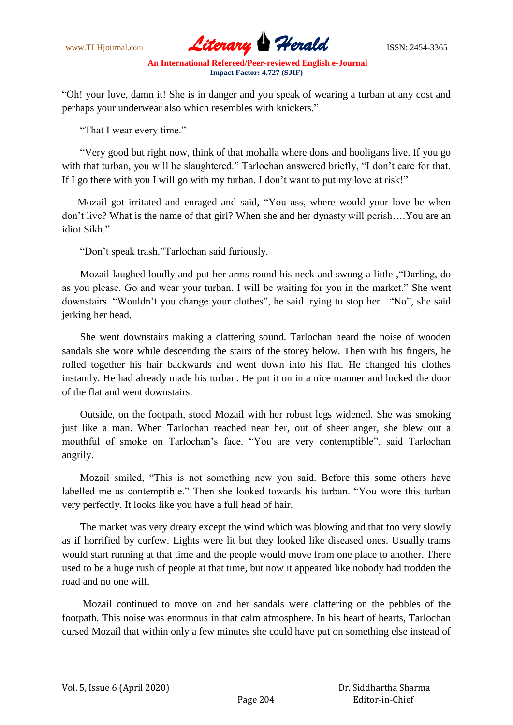www.TLHjournal.com **Literary Perald ISSN: 2454-3365** 

"Oh! your love, damn it! She is in danger and you speak of wearing a turban at any cost and perhaps your underwear also which resembles with knickers."

"That I wear every time."

 "Very good but right now, think of that mohalla where dons and hooligans live. If you go with that turban, you will be slaughtered." Tarlochan answered briefly, "I don't care for that. If I go there with you I will go with my turban. I don"t want to put my love at risk!"

 Mozail got irritated and enraged and said, "You ass, where would your love be when don"t live? What is the name of that girl? When she and her dynasty will perish….You are an idiot Sikh."

"Don"t speak trash."Tarlochan said furiously.

 Mozail laughed loudly and put her arms round his neck and swung a little ,"Darling, do as you please. Go and wear your turban. I will be waiting for you in the market." She went downstairs. "Wouldn"t you change your clothes", he said trying to stop her. "No", she said jerking her head.

 She went downstairs making a clattering sound. Tarlochan heard the noise of wooden sandals she wore while descending the stairs of the storey below. Then with his fingers, he rolled together his hair backwards and went down into his flat. He changed his clothes instantly. He had already made his turban. He put it on in a nice manner and locked the door of the flat and went downstairs.

 Outside, on the footpath, stood Mozail with her robust legs widened. She was smoking just like a man. When Tarlochan reached near her, out of sheer anger, she blew out a mouthful of smoke on Tarlochan"s face. "You are very contemptible", said Tarlochan angrily.

 Mozail smiled, "This is not something new you said. Before this some others have labelled me as contemptible." Then she looked towards his turban. "You wore this turban very perfectly. It looks like you have a full head of hair.

 The market was very dreary except the wind which was blowing and that too very slowly as if horrified by curfew. Lights were lit but they looked like diseased ones. Usually trams would start running at that time and the people would move from one place to another. There used to be a huge rush of people at that time, but now it appeared like nobody had trodden the road and no one will.

 Mozail continued to move on and her sandals were clattering on the pebbles of the footpath. This noise was enormous in that calm atmosphere. In his heart of hearts, Tarlochan cursed Mozail that within only a few minutes she could have put on something else instead of

Vol. 5, Issue 6 (April 2020)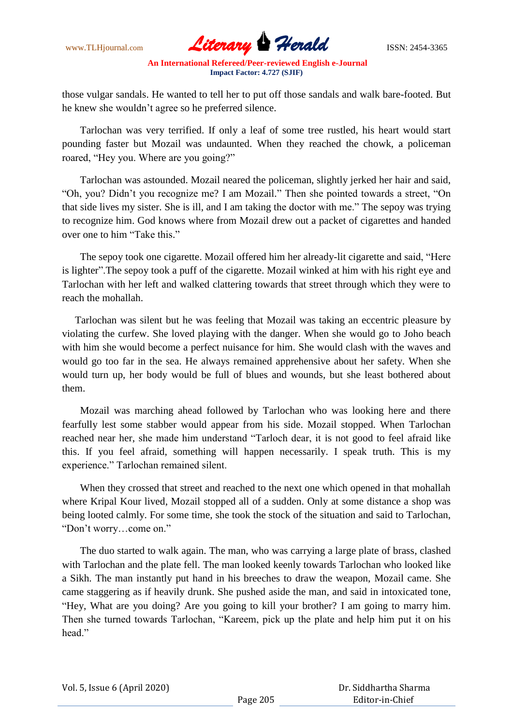

those vulgar sandals. He wanted to tell her to put off those sandals and walk bare-footed. But he knew she wouldn"t agree so he preferred silence.

 Tarlochan was very terrified. If only a leaf of some tree rustled, his heart would start pounding faster but Mozail was undaunted. When they reached the chowk, a policeman roared, "Hey you. Where are you going?"

 Tarlochan was astounded. Mozail neared the policeman, slightly jerked her hair and said, "Oh, you? Didn"t you recognize me? I am Mozail." Then she pointed towards a street, "On that side lives my sister. She is ill, and I am taking the doctor with me." The sepoy was trying to recognize him. God knows where from Mozail drew out a packet of cigarettes and handed over one to him "Take this."

 The sepoy took one cigarette. Mozail offered him her already-lit cigarette and said, "Here is lighter".The sepoy took a puff of the cigarette. Mozail winked at him with his right eye and Tarlochan with her left and walked clattering towards that street through which they were to reach the mohallah.

 Tarlochan was silent but he was feeling that Mozail was taking an eccentric pleasure by violating the curfew. She loved playing with the danger. When she would go to Joho beach with him she would become a perfect nuisance for him. She would clash with the waves and would go too far in the sea. He always remained apprehensive about her safety. When she would turn up, her body would be full of blues and wounds, but she least bothered about them.

 Mozail was marching ahead followed by Tarlochan who was looking here and there fearfully lest some stabber would appear from his side. Mozail stopped. When Tarlochan reached near her, she made him understand "Tarloch dear, it is not good to feel afraid like this. If you feel afraid, something will happen necessarily. I speak truth. This is my experience." Tarlochan remained silent.

 When they crossed that street and reached to the next one which opened in that mohallah where Kripal Kour lived, Mozail stopped all of a sudden. Only at some distance a shop was being looted calmly. For some time, she took the stock of the situation and said to Tarlochan, "Don"t worry…come on."

 The duo started to walk again. The man, who was carrying a large plate of brass, clashed with Tarlochan and the plate fell. The man looked keenly towards Tarlochan who looked like a Sikh. The man instantly put hand in his breeches to draw the weapon, Mozail came. She came staggering as if heavily drunk. She pushed aside the man, and said in intoxicated tone, "Hey, What are you doing? Are you going to kill your brother? I am going to marry him. Then she turned towards Tarlochan, "Kareem, pick up the plate and help him put it on his head"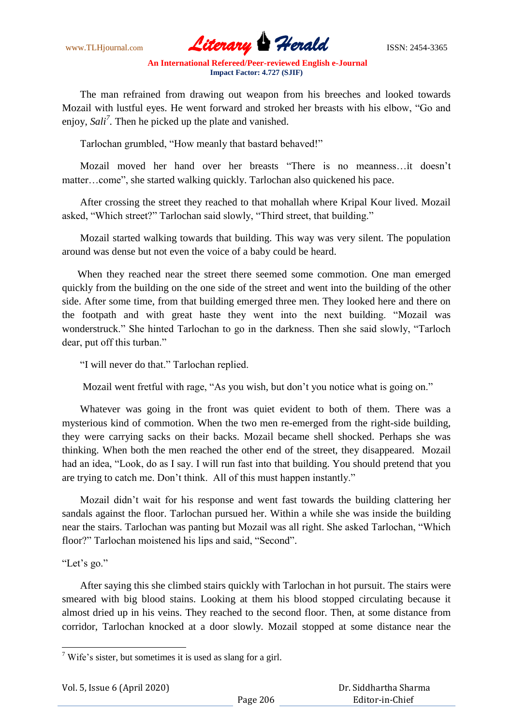www.TLHjournal.com **Literary Herald ISSN: 2454-3365** 

 The man refrained from drawing out weapon from his breeches and looked towards Mozail with lustful eyes. He went forward and stroked her breasts with his elbow, "Go and enjoy, *Sali<sup>7</sup> .* Then he picked up the plate and vanished.

Tarlochan grumbled, "How meanly that bastard behaved!"

 Mozail moved her hand over her breasts "There is no meanness…it doesn"t matter…come", she started walking quickly. Tarlochan also quickened his pace.

 After crossing the street they reached to that mohallah where Kripal Kour lived. Mozail asked, "Which street?" Tarlochan said slowly, "Third street, that building."

 Mozail started walking towards that building. This way was very silent. The population around was dense but not even the voice of a baby could be heard.

 When they reached near the street there seemed some commotion. One man emerged quickly from the building on the one side of the street and went into the building of the other side. After some time, from that building emerged three men. They looked here and there on the footpath and with great haste they went into the next building. "Mozail was wonderstruck." She hinted Tarlochan to go in the darkness. Then she said slowly, "Tarloch dear, put off this turban."

"I will never do that." Tarlochan replied.

Mozail went fretful with rage, "As you wish, but don't you notice what is going on."

 Whatever was going in the front was quiet evident to both of them. There was a mysterious kind of commotion. When the two men re-emerged from the right-side building, they were carrying sacks on their backs. Mozail became shell shocked. Perhaps she was thinking. When both the men reached the other end of the street, they disappeared. Mozail had an idea, "Look, do as I say. I will run fast into that building. You should pretend that you are trying to catch me. Don"t think. All of this must happen instantly."

 Mozail didn"t wait for his response and went fast towards the building clattering her sandals against the floor. Tarlochan pursued her. Within a while she was inside the building near the stairs. Tarlochan was panting but Mozail was all right. She asked Tarlochan, "Which floor?" Tarlochan moistened his lips and said, "Second".

"Let's go."

**.** 

 After saying this she climbed stairs quickly with Tarlochan in hot pursuit. The stairs were smeared with big blood stains. Looking at them his blood stopped circulating because it almost dried up in his veins. They reached to the second floor. Then, at some distance from corridor, Tarlochan knocked at a door slowly. Mozail stopped at some distance near the

<sup>&</sup>lt;sup>7</sup> Wife's sister, but sometimes it is used as slang for a girl.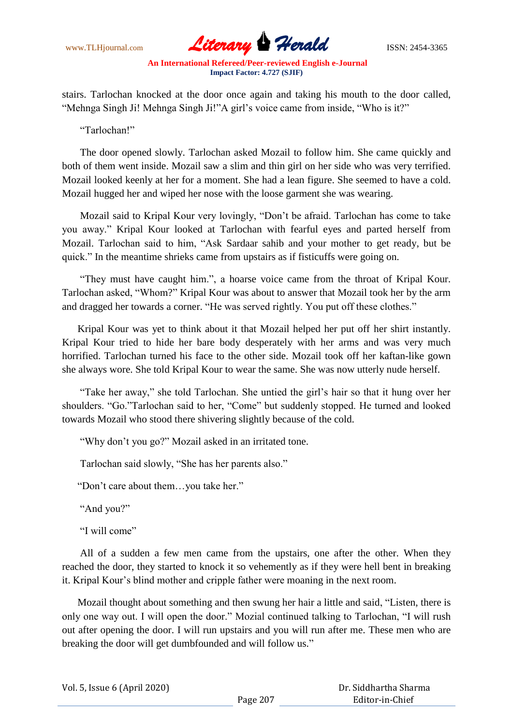www.TLHjournal.com **Literary Herald ISSN: 2454-3365** 

stairs. Tarlochan knocked at the door once again and taking his mouth to the door called, "Mehnga Singh Ji! Mehnga Singh Ji!"A girl"s voice came from inside, "Who is it?"

"Tarlochan!"

 The door opened slowly. Tarlochan asked Mozail to follow him. She came quickly and both of them went inside. Mozail saw a slim and thin girl on her side who was very terrified. Mozail looked keenly at her for a moment. She had a lean figure. She seemed to have a cold. Mozail hugged her and wiped her nose with the loose garment she was wearing.

 Mozail said to Kripal Kour very lovingly, "Don"t be afraid. Tarlochan has come to take you away." Kripal Kour looked at Tarlochan with fearful eyes and parted herself from Mozail. Tarlochan said to him, "Ask Sardaar sahib and your mother to get ready, but be quick." In the meantime shrieks came from upstairs as if fisticuffs were going on.

 "They must have caught him.", a hoarse voice came from the throat of Kripal Kour. Tarlochan asked, "Whom?" Kripal Kour was about to answer that Mozail took her by the arm and dragged her towards a corner. "He was served rightly. You put off these clothes."

 Kripal Kour was yet to think about it that Mozail helped her put off her shirt instantly. Kripal Kour tried to hide her bare body desperately with her arms and was very much horrified. Tarlochan turned his face to the other side. Mozail took off her kaftan-like gown she always wore. She told Kripal Kour to wear the same. She was now utterly nude herself.

 "Take her away," she told Tarlochan. She untied the girl"s hair so that it hung over her shoulders. "Go."Tarlochan said to her, "Come" but suddenly stopped. He turned and looked towards Mozail who stood there shivering slightly because of the cold.

"Why don"t you go?" Mozail asked in an irritated tone.

Tarlochan said slowly, "She has her parents also."

"Don"t care about them…you take her."

"And you?"

"I will come"

 All of a sudden a few men came from the upstairs, one after the other. When they reached the door, they started to knock it so vehemently as if they were hell bent in breaking it. Kripal Kour"s blind mother and cripple father were moaning in the next room.

 Mozail thought about something and then swung her hair a little and said, "Listen, there is only one way out. I will open the door." Mozial continued talking to Tarlochan, "I will rush out after opening the door. I will run upstairs and you will run after me. These men who are breaking the door will get dumbfounded and will follow us."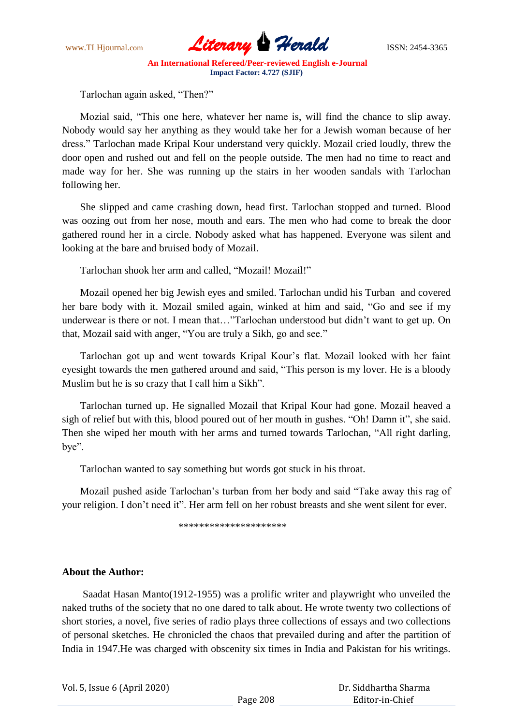

Tarlochan again asked, "Then?"

 Mozial said, "This one here, whatever her name is, will find the chance to slip away. Nobody would say her anything as they would take her for a Jewish woman because of her dress." Tarlochan made Kripal Kour understand very quickly. Mozail cried loudly, threw the door open and rushed out and fell on the people outside. The men had no time to react and made way for her. She was running up the stairs in her wooden sandals with Tarlochan following her.

 She slipped and came crashing down, head first. Tarlochan stopped and turned. Blood was oozing out from her nose, mouth and ears. The men who had come to break the door gathered round her in a circle. Nobody asked what has happened. Everyone was silent and looking at the bare and bruised body of Mozail.

Tarlochan shook her arm and called, "Mozail! Mozail!"

 Mozail opened her big Jewish eyes and smiled. Tarlochan undid his Turban and covered her bare body with it. Mozail smiled again, winked at him and said, "Go and see if my underwear is there or not. I mean that…"Tarlochan understood but didn"t want to get up. On that, Mozail said with anger, "You are truly a Sikh, go and see."

 Tarlochan got up and went towards Kripal Kour"s flat. Mozail looked with her faint eyesight towards the men gathered around and said, "This person is my lover. He is a bloody Muslim but he is so crazy that I call him a Sikh".

 Tarlochan turned up. He signalled Mozail that Kripal Kour had gone. Mozail heaved a sigh of relief but with this, blood poured out of her mouth in gushes. "Oh! Damn it", she said. Then she wiped her mouth with her arms and turned towards Tarlochan, "All right darling, bye".

Tarlochan wanted to say something but words got stuck in his throat.

 Mozail pushed aside Tarlochan"s turban from her body and said "Take away this rag of your religion. I don"t need it". Her arm fell on her robust breasts and she went silent for ever.

\*\*\*\*\*\*\*\*\*\*\*\*\*\*\*\*\*\*\*\*\*

## **About the Author:**

Saadat Hasan Manto(1912-1955) was a prolific writer and playwright who unveiled the naked truths of the society that no one dared to talk about. He wrote twenty two collections of short stories, a novel, five series of radio plays three collections of essays and two collections of personal sketches. He chronicled the chaos that prevailed during and after the partition of India in 1947.He was charged with obscenity six times in India and Pakistan for his writings.